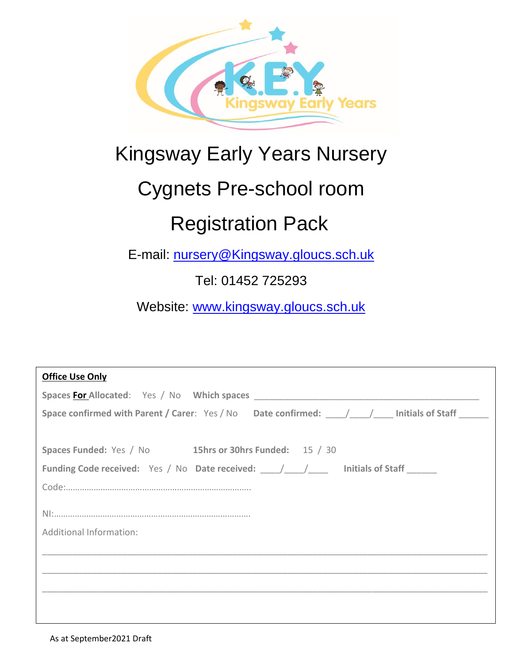

# Kingsway Early Years Nursery

# Cygnets Pre-school room

# Registration Pack

E-mail: [nursery@Kingsway.gloucs.sch.uk](mailto:nursery@Kingsway.gloucs.sch.uk)

Tel: 01452 725293

Website: [www.kingsway.gloucs.sch.uk](http://www.kingsway.gloucs.sch.uk/)

| <b>Office Use Only</b>                                                        |  |  |  |
|-------------------------------------------------------------------------------|--|--|--|
| Spaces For Allocated: Yes / No Which spaces                                   |  |  |  |
|                                                                               |  |  |  |
|                                                                               |  |  |  |
| Spaces Funded: Yes / No 15hrs or 30hrs Funded: 15 / 30                        |  |  |  |
| <b>Funding Code received:</b> Yes / No Date received: / / / Initials of Staff |  |  |  |
|                                                                               |  |  |  |
|                                                                               |  |  |  |
| Additional Information:                                                       |  |  |  |
|                                                                               |  |  |  |
|                                                                               |  |  |  |
|                                                                               |  |  |  |
|                                                                               |  |  |  |
|                                                                               |  |  |  |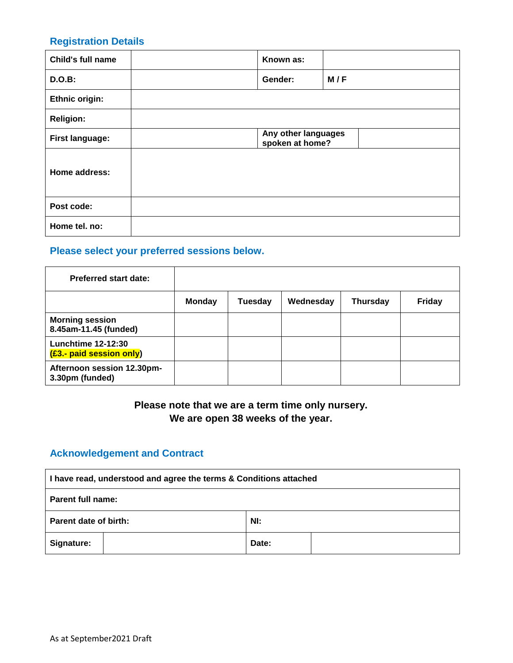#### **Registration Details**

| Child's full name      | Known as:                              |     |
|------------------------|----------------------------------------|-----|
| <b>D.O.B:</b>          | Gender:                                | M/F |
| Ethnic origin:         |                                        |     |
| <b>Religion:</b>       |                                        |     |
| <b>First language:</b> | Any other languages<br>spoken at home? |     |
| Home address:          |                                        |     |
| Post code:             |                                        |     |
| Home tel. no:          |                                        |     |

## **Please select your preferred sessions below.**

| <b>Preferred start date:</b>                          |               |                |           |                 |               |
|-------------------------------------------------------|---------------|----------------|-----------|-----------------|---------------|
|                                                       | <b>Monday</b> | <b>Tuesday</b> | Wednesday | <b>Thursday</b> | <b>Friday</b> |
| <b>Morning session</b><br>8.45am-11.45 (funded)       |               |                |           |                 |               |
| <b>Lunchtime 12-12:30</b><br>(£3.- paid session only) |               |                |           |                 |               |
| Afternoon session 12.30pm-<br>3.30pm (funded)         |               |                |           |                 |               |

### **Please note that we are a term time only nursery. We are open 38 weeks of the year.**

### **Acknowledgement and Contract**

| I have read, understood and agree the terms & Conditions attached |  |  |
|-------------------------------------------------------------------|--|--|
| <b>Parent full name:</b>                                          |  |  |
| Nl:<br>Parent date of birth:                                      |  |  |
| <b>Signature:</b><br>Date:                                        |  |  |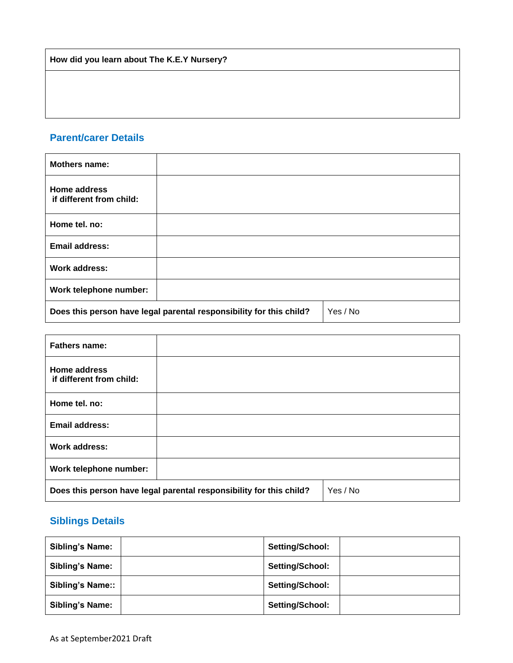**How did you learn about The K.E.Y Nursery?**

### **Parent/carer Details**

| <b>Mothers name:</b>                     |                                                                     |          |
|------------------------------------------|---------------------------------------------------------------------|----------|
| Home address<br>if different from child: |                                                                     |          |
| Home tel. no:                            |                                                                     |          |
| <b>Email address:</b>                    |                                                                     |          |
| Work address:                            |                                                                     |          |
| Work telephone number:                   |                                                                     |          |
|                                          | Does this person have legal parental responsibility for this child? | Yes / No |

| <b>Fathers name:</b>                                                |  |          |
|---------------------------------------------------------------------|--|----------|
| Home address<br>if different from child:                            |  |          |
| Home tel. no:                                                       |  |          |
| <b>Email address:</b>                                               |  |          |
| Work address:                                                       |  |          |
| Work telephone number:                                              |  |          |
| Does this person have legal parental responsibility for this child? |  | Yes / No |

### **Siblings Details**

| <b>Sibling's Name:</b>  | Setting/School: |
|-------------------------|-----------------|
| <b>Sibling's Name:</b>  | Setting/School: |
| <b>Sibling's Name::</b> | Setting/School: |
| <b>Sibling's Name:</b>  | Setting/School: |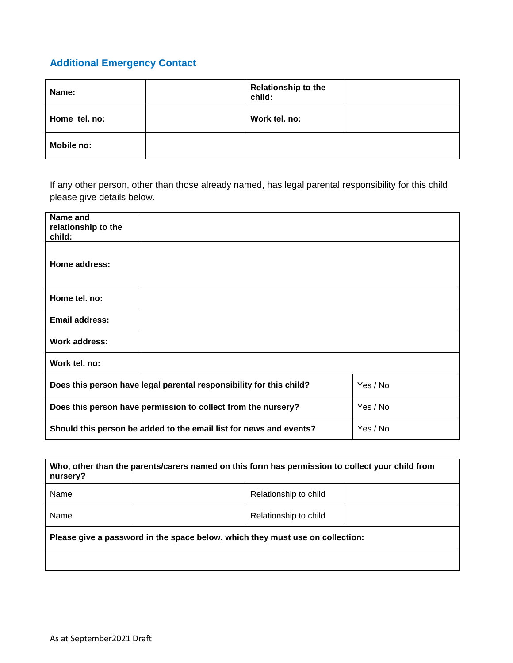## **Additional Emergency Contact**

| Name:         | <b>Relationship to the</b><br>child: |  |
|---------------|--------------------------------------|--|
| Home tel. no: | Work tel. no:                        |  |
| Mobile no:    |                                      |  |

If any other person, other than those already named, has legal parental responsibility for this child please give details below.

| Name and<br>relationship to the<br>child:                           |  |          |
|---------------------------------------------------------------------|--|----------|
| Home address:                                                       |  |          |
| Home tel. no:                                                       |  |          |
| <b>Email address:</b>                                               |  |          |
| Work address:                                                       |  |          |
| Work tel. no:                                                       |  |          |
| Does this person have legal parental responsibility for this child? |  | Yes / No |
| Does this person have permission to collect from the nursery?       |  | Yes / No |
| Should this person be added to the email list for news and events?  |  | Yes / No |

| Who, other than the parents/carers named on this form has permission to collect your child from<br>nursery? |  |                       |  |
|-------------------------------------------------------------------------------------------------------------|--|-----------------------|--|
| Name                                                                                                        |  | Relationship to child |  |
| Name                                                                                                        |  | Relationship to child |  |
| Please give a password in the space below, which they must use on collection:                               |  |                       |  |
|                                                                                                             |  |                       |  |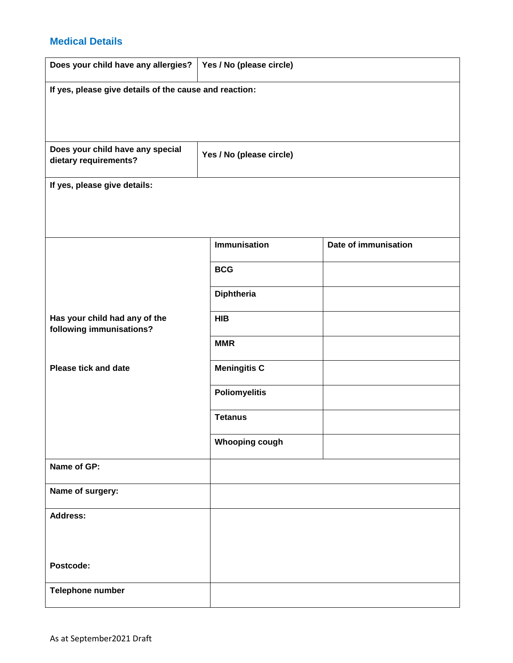#### **Medical Details**

| Does your child have any allergies?                       | Yes / No (please circle) |                      |  |  |  |
|-----------------------------------------------------------|--------------------------|----------------------|--|--|--|
| If yes, please give details of the cause and reaction:    |                          |                      |  |  |  |
|                                                           |                          |                      |  |  |  |
|                                                           |                          |                      |  |  |  |
| Does your child have any special                          | Yes / No (please circle) |                      |  |  |  |
| dietary requirements?                                     |                          |                      |  |  |  |
| If yes, please give details:                              |                          |                      |  |  |  |
|                                                           |                          |                      |  |  |  |
|                                                           |                          |                      |  |  |  |
|                                                           | <b>Immunisation</b>      | Date of immunisation |  |  |  |
|                                                           | <b>BCG</b>               |                      |  |  |  |
|                                                           | <b>Diphtheria</b>        |                      |  |  |  |
| Has your child had any of the<br>following immunisations? | <b>HIB</b>               |                      |  |  |  |
|                                                           | <b>MMR</b>               |                      |  |  |  |
| <b>Please tick and date</b>                               | <b>Meningitis C</b>      |                      |  |  |  |
|                                                           | <b>Poliomyelitis</b>     |                      |  |  |  |
|                                                           | <b>Tetanus</b>           |                      |  |  |  |
|                                                           | <b>Whooping cough</b>    |                      |  |  |  |
| Name of GP:                                               |                          |                      |  |  |  |
| Name of surgery:                                          |                          |                      |  |  |  |
| <b>Address:</b>                                           |                          |                      |  |  |  |
|                                                           |                          |                      |  |  |  |
| Postcode:                                                 |                          |                      |  |  |  |
|                                                           |                          |                      |  |  |  |
| Telephone number                                          |                          |                      |  |  |  |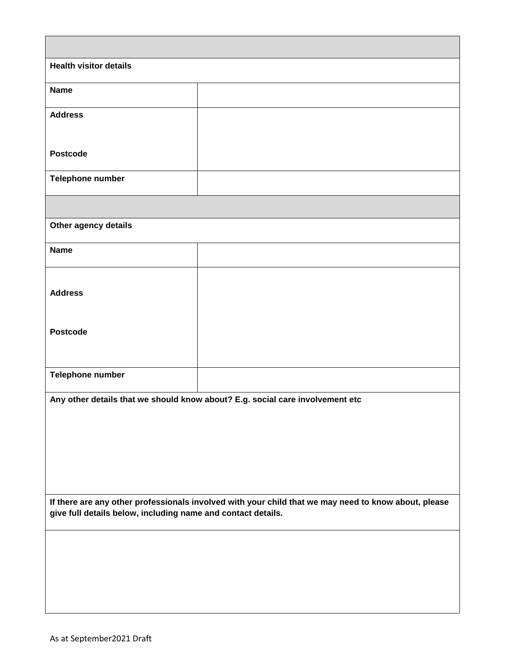| <b>Health visitor details</b>                                |                                                                                                      |
|--------------------------------------------------------------|------------------------------------------------------------------------------------------------------|
| <b>Name</b>                                                  |                                                                                                      |
| <b>Address</b>                                               |                                                                                                      |
|                                                              |                                                                                                      |
| <b>Postcode</b>                                              |                                                                                                      |
| Telephone number                                             |                                                                                                      |
|                                                              |                                                                                                      |
| Other agency details                                         |                                                                                                      |
| <b>Name</b>                                                  |                                                                                                      |
|                                                              |                                                                                                      |
| <b>Address</b>                                               |                                                                                                      |
| <b>Postcode</b>                                              |                                                                                                      |
|                                                              |                                                                                                      |
| Telephone number                                             |                                                                                                      |
|                                                              |                                                                                                      |
|                                                              | Any other details that we should know about? E.g. social care involvement etc                        |
|                                                              |                                                                                                      |
|                                                              |                                                                                                      |
|                                                              |                                                                                                      |
| give full details below, including name and contact details. | If there are any other professionals involved with your child that we may need to know about, please |
|                                                              |                                                                                                      |
|                                                              |                                                                                                      |
|                                                              |                                                                                                      |
|                                                              |                                                                                                      |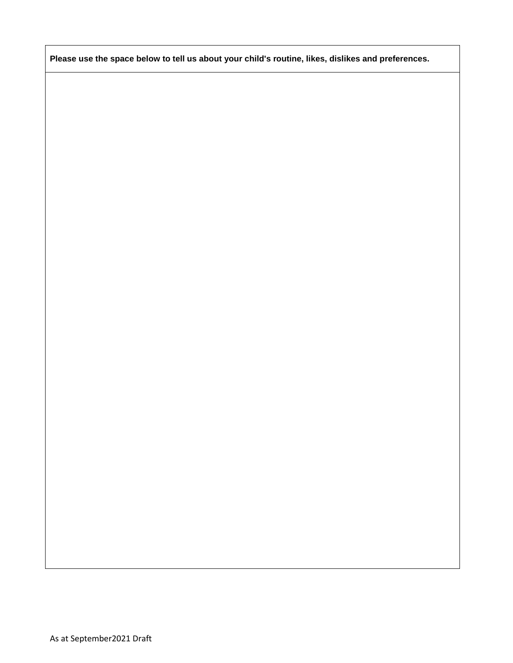**Please use the space below to tell us about your child's routine, likes, dislikes and preferences.**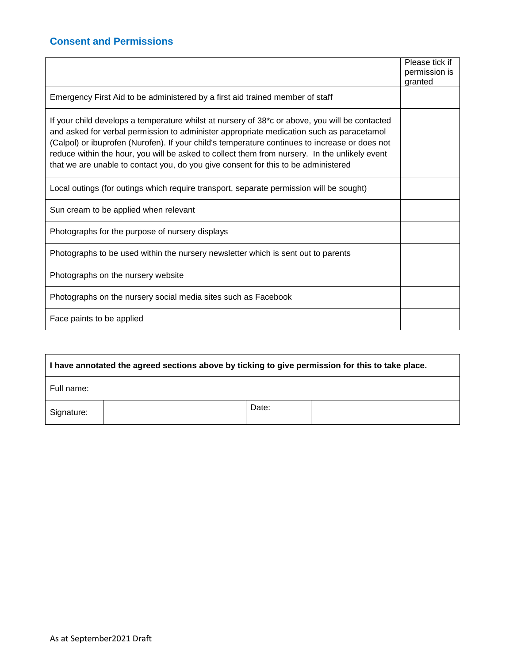### **Consent and Permissions**

|                                                                                                                                                                                                                                                                                                                                                                                                                                                                                                  | Please tick if<br>permission is<br>granted |
|--------------------------------------------------------------------------------------------------------------------------------------------------------------------------------------------------------------------------------------------------------------------------------------------------------------------------------------------------------------------------------------------------------------------------------------------------------------------------------------------------|--------------------------------------------|
| Emergency First Aid to be administered by a first aid trained member of staff                                                                                                                                                                                                                                                                                                                                                                                                                    |                                            |
| If your child develops a temperature whilst at nursery of 38 <sup>*</sup> c or above, you will be contacted<br>and asked for verbal permission to administer appropriate medication such as paracetamol<br>(Calpol) or ibuprofen (Nurofen). If your child's temperature continues to increase or does not<br>reduce within the hour, you will be asked to collect them from nursery. In the unlikely event<br>that we are unable to contact you, do you give consent for this to be administered |                                            |
| Local outings (for outings which require transport, separate permission will be sought)                                                                                                                                                                                                                                                                                                                                                                                                          |                                            |
| Sun cream to be applied when relevant                                                                                                                                                                                                                                                                                                                                                                                                                                                            |                                            |
| Photographs for the purpose of nursery displays                                                                                                                                                                                                                                                                                                                                                                                                                                                  |                                            |
| Photographs to be used within the nursery newsletter which is sent out to parents                                                                                                                                                                                                                                                                                                                                                                                                                |                                            |
| Photographs on the nursery website                                                                                                                                                                                                                                                                                                                                                                                                                                                               |                                            |
| Photographs on the nursery social media sites such as Facebook                                                                                                                                                                                                                                                                                                                                                                                                                                   |                                            |
| Face paints to be applied                                                                                                                                                                                                                                                                                                                                                                                                                                                                        |                                            |

| I have annotated the agreed sections above by ticking to give permission for this to take place. |  |       |  |  |
|--------------------------------------------------------------------------------------------------|--|-------|--|--|
| Full name:                                                                                       |  |       |  |  |
| Signature:                                                                                       |  | Date: |  |  |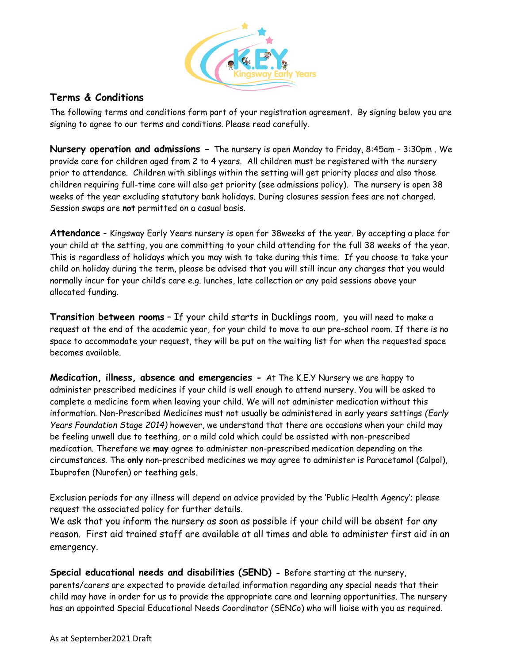

#### **Terms & Conditions**

The following terms and conditions form part of your registration agreement. By signing below you are signing to agree to our terms and conditions. Please read carefully.

**Nursery operation and admissions -** The nursery is open Monday to Friday, 8:45am - 3:30pm . We provide care for children aged from 2 to 4 years. All children must be registered with the nursery prior to attendance. Children with siblings within the setting will get priority places and also those children requiring full-time care will also get priority (see admissions policy). The nursery is open 38 weeks of the year excluding statutory bank holidays. During closures session fees are not charged. Session swaps are **not** permitted on a casual basis.

**Attendance** - Kingsway Early Years nursery is open for 38weeks of the year. By accepting a place for your child at the setting, you are committing to your child attending for the full 38 weeks of the year. This is regardless of holidays which you may wish to take during this time. If you choose to take your child on holiday during the term, please be advised that you will still incur any charges that you would normally incur for your child's care e.g. lunches, late collection or any paid sessions above your allocated funding.

**Transition between rooms** – If your child starts in Ducklings room, you will need to make a request at the end of the academic year, for your child to move to our pre-school room. If there is no space to accommodate your request, they will be put on the waiting list for when the requested space becomes available.

**Medication, illness, absence and emergencies -** At The K.E.Y Nursery we are happy to administer prescribed medicines if your child is well enough to attend nursery. You will be asked to complete a medicine form when leaving your child. We will not administer medication without this information. Non-Prescribed Medicines must not usually be administered in early years settings *(Early Years Foundation Stage 2014)* however, we understand that there are occasions when your child may be feeling unwell due to teething, or a mild cold which could be assisted with non-prescribed medication. Therefore we **may** agree to administer non-prescribed medication depending on the circumstances. The **only** non-prescribed medicines we may agree to administer is Paracetamol (Calpol), Ibuprofen (Nurofen) or teething gels.

Exclusion periods for any illness will depend on advice provided by the 'Public Health Agency'; please request the associated policy for further details.

We ask that you inform the nursery as soon as possible if your child will be absent for any reason. First aid trained staff are available at all times and able to administer first aid in an emergency.

**Special educational needs and disabilities (SEND) -** Before starting at the nursery, parents/carers are expected to provide detailed information regarding any special needs that their child may have in order for us to provide the appropriate care and learning opportunities. The nursery has an appointed Special Educational Needs Coordinator (SENCo) who will liaise with you as required.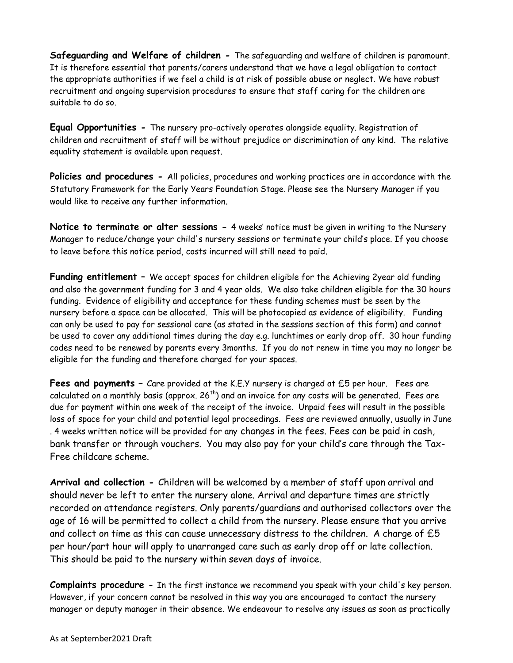**Safeguarding and Welfare of children -** The safeguarding and welfare of children is paramount. It is therefore essential that parents/carers understand that we have a legal obligation to contact the appropriate authorities if we feel a child is at risk of possible abuse or neglect. We have robust recruitment and ongoing supervision procedures to ensure that staff caring for the children are suitable to do so.

**Equal Opportunities -** The nursery pro-actively operates alongside equality. Registration of children and recruitment of staff will be without prejudice or discrimination of any kind. The relative equality statement is available upon request.

**Policies and procedures -** All policies, procedures and working practices are in accordance with the Statutory Framework for the Early Years Foundation Stage. Please see the Nursery Manager if you would like to receive any further information.

**Notice to terminate or alter sessions -** 4 weeks' notice must be given in writing to the Nursery Manager to reduce/change your child's nursery sessions or terminate your child's place. If you choose to leave before this notice period, costs incurred will still need to paid.

**Funding entitlement –** We accept spaces for children eligible for the Achieving 2year old funding and also the government funding for 3 and 4 year olds. We also take children eligible for the 30 hours funding. Evidence of eligibility and acceptance for these funding schemes must be seen by the nursery before a space can be allocated. This will be photocopied as evidence of eligibility. Funding can only be used to pay for sessional care (as stated in the sessions section of this form) and cannot be used to cover any additional times during the day e.g. lunchtimes or early drop off. 30 hour funding codes need to be renewed by parents every 3months. If you do not renew in time you may no longer be eligible for the funding and therefore charged for your spaces.

**Fees and payments –** Care provided at the K.E.Y nursery is charged at £5 per hour.Fees are calculated on a monthly basis (approx. 26<sup>th</sup>) and an invoice for any costs will be generated. Fees are due for payment within one week of the receipt of the invoice. Unpaid fees will result in the possible loss of space for your child and potential legal proceedings. Fees are reviewed annually, usually in June . 4 weeks written notice will be provided for any changes in the fees. Fees can be paid in cash, bank transfer or through vouchers. You may also pay for your child's care through the Tax-Free childcare scheme.

**Arrival and collection -** Children will be welcomed by a member of staff upon arrival and should never be left to enter the nursery alone. Arrival and departure times are strictly recorded on attendance registers. Only parents/guardians and authorised collectors over the age of 16 will be permitted to collect a child from the nursery. Please ensure that you arrive and collect on time as this can cause unnecessary distress to the children. A charge of  $£5$ per hour/part hour will apply to unarranged care such as early drop off or late collection. This should be paid to the nursery within seven days of invoice.

**Complaints procedure -** In the first instance we recommend you speak with your child's key person. However, if your concern cannot be resolved in this way you are encouraged to contact the nursery manager or deputy manager in their absence. We endeavour to resolve any issues as soon as practically